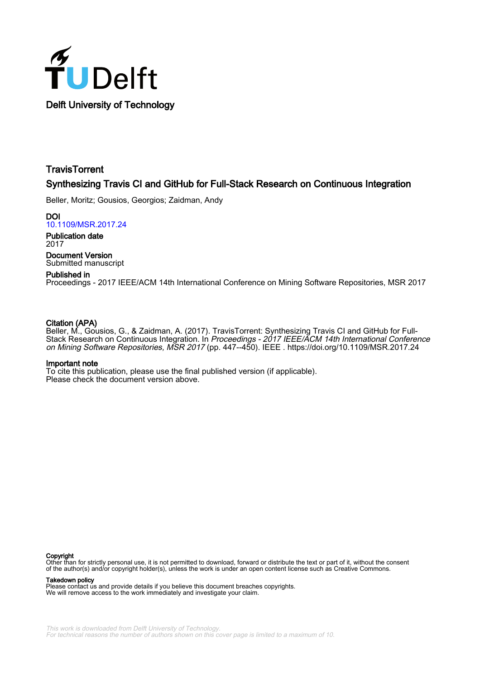

# **TravisTorrent** Synthesizing Travis CI and GitHub for Full-Stack Research on Continuous Integration

Beller, Moritz; Gousios, Georgios; Zaidman, Andy

DOI [10.1109/MSR.2017.24](https://doi.org/10.1109/MSR.2017.24)

Publication date 2017

Document Version Submitted manuscript

# Published in

Proceedings - 2017 IEEE/ACM 14th International Conference on Mining Software Repositories, MSR 2017

## Citation (APA)

Beller, M., Gousios, G., & Zaidman, A. (2017). TravisTorrent: Synthesizing Travis CI and GitHub for Full-Stack Research on Continuous Integration. In Proceedings - 2017 IEEE/ACM 14th International Conference on Mining Software Repositories, MSR 2017 (pp. 447--450). IEEE .<https://doi.org/10.1109/MSR.2017.24>

#### Important note

To cite this publication, please use the final published version (if applicable). Please check the document version above.

#### Copyright

Other than for strictly personal use, it is not permitted to download, forward or distribute the text or part of it, without the consent of the author(s) and/or copyright holder(s), unless the work is under an open content license such as Creative Commons.

Takedown policy

Please contact us and provide details if you believe this document breaches copyrights. We will remove access to the work immediately and investigate your claim.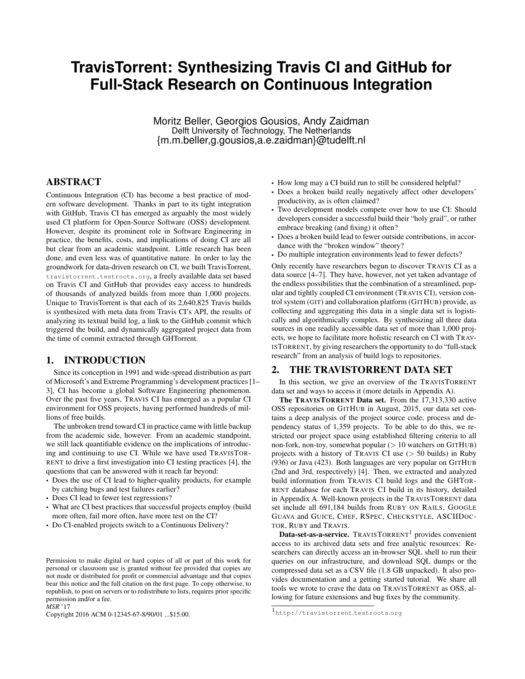# **TravisTorrent: Synthesizing Travis CI and GitHub for Full-Stack Research on Continuous Integration**

Moritz Beller, Georgios Gousios, Andy Zaidman Delft University of Technology, The Netherlands {m.m.beller,g.gousios,a.e.zaidman}@tudelft.nl

## ABSTRACT

Continuous Integration (CI) has become a best practice of modern software development. Thanks in part to its tight integration with GitHub, Travis CI has emerged as arguably the most widely used CI platform for Open-Source Software (OSS) development. However, despite its prominent role in Software Engineering in practice, the benefits, costs, and implications of doing CI are all but clear from an academic standpoint. Little research has been done, and even less was of quantitative nature. In order to lay the groundwork for data-driven research on CI, we built TravisTorrent, [travistorrent.testroots.org](https://web.archive.org/web/20170323145500/https://travistorrent.testroots.org), a freely available data set based on Travis CI and GitHub that provides easy access to hundreds of thousands of analyzed builds from more than 1,000 projects. Unique to TravisTorrent is that each of its 2,640,825 Travis builds is synthesized with meta data from Travis CI's API, the results of analyzing its textual build log, a link to the GitHub commit which triggered the build, and dynamically aggregated project data from the time of commit extracted through GHTorrent.

#### 1. INTRODUCTION

Since its conception in 1991 and wide-spread distribution as part of Microsoft's and Extreme Programming's development practices [\[1–](#page-4-0) [3\]](#page-4-1), CI has become a global Software Engineering phenomenon. Over the past five years, TRAVIS CI has emerged as a popular CI environment for OSS projects, having performed hundreds of millions of free builds.

The unbroken trend toward CI in practice came with little backup from the academic side, however. From an academic standpoint, we still lack quantifiable evidence on the implications of introducing and continuing to use CI. While we have used TRAVISTOR-RENT to drive a first investigation into CI testing practices [\[4\]](#page-4-2), the questions that can be answered with it reach far beyond:

- Does the use of CI lead to higher-quality products, for example by catching bugs and test failures earlier?
- Does CI lead to fewer test regressions?
- What are CI best practices that successful projects employ (build more often, fail more often, have more test on the CI?
- Do CI-enabled projects switch to a Continuous Delivery?

*MSR* '17

Copyright 2016 ACM 0-12345-67-8/90/01 ...\$15.00.

- How long may a CI build run to still be considered helpful?
- Does a broken build really negatively affect other developers' productivity, as is often claimed?
- Two development models compete over how to use CI: Should developers consider a successful build their "holy grail", or rather embrace breaking (and fixing) it often?
- Does a broken build lead to fewer outside contributions, in accordance with the "broken window" theory?
- Do multiple integration environments lead to fewer defects?

Only recently have researchers begun to discover TRAVIS CI as a data source [\[4](#page-4-2)[–7\]](#page-4-3). They have, however, not yet taken advantage of the endless possibilities that the combination of a streamlined, popular and tightly coupled CI environment (TRAVIS CI), version control system (GIT) and collaboration platform (GITHUB) provide, as collecting and aggregating this data in a single data set is logistically and algorithmically complex. By synthesizing all three data sources in one readily accessible data set of more than 1,000 projects, we hope to facilitate more holistic research on CI with TRAV-ISTORRENT, by giving researchers the opportunity to do "full-stack research" from an analysis of build logs to repositories.

#### 2. THE TRAVISTORRENT DATA SET

In this section, we give an overview of the TRAVISTORRENT data set and ways to access it (more details in Appendix [A\)](#page-2-0).

The TRAVISTORRENT Data set. From the 17,313,330 active OSS repositories on GITHUB in August, 2015, our data set contains a deep analysis of the project source code, process and dependency status of 1,359 projects. To be able to do this, we restricted our project space using established filtering criteria to all non-fork, non-toy, somewhat popular  $(> 10$  watchers on GITHUB) projects with a history of TRAVIS CI use  $($  > 50 builds) in Ruby (936) or Java (423). Both languages are very popular on GITHUB (2nd and 3rd, respectively) [\[4\]](#page-4-2). Then, we extracted and analyzed build information from TRAVIS CI build logs and the GHTOR-RENT database for each TRAVIS CI build in its history, detailed in Appendix [A.](#page-2-0) Well-known projects in the TRAVISTORRENT data set include all 691,184 builds from RUBY ON RAILS, GOOGLE GUAVA and GUICE, CHEF, RSPEC, CHECKSTYLE, ASCIIDOC-TOR, RUBY and TRAVIS.

Data-set-as-a-service. TRAVISTORRENT<sup>[1](#page-1-0)</sup> provides convenient access to its archived data sets and free analytic resources: Researchers can directly access an in-browser SQL shell to run their queries on our infrastructure, and download SQL dumps or the compressed data set as a CSV file (1.8 GB unpacked). It also provides documentation and a getting started tutorial. We share all tools we wrote to crave the data on TRAVISTORRENT as OSS, allowing for future extensions and bug fixes by the community.

Permission to make digital or hard copies of all or part of this work for personal or classroom use is granted without fee provided that copies are not made or distributed for profit or commercial advantage and that copies bear this notice and the full citation on the first page. To copy otherwise, to republish, to post on servers or to redistribute to lists, requires prior specific permission and/or a fee.

<span id="page-1-0"></span><sup>1</sup>[http://travistorrent](https://web.archive.org/web/20170323145500/https://travistorrent.testroots.org).testroots.org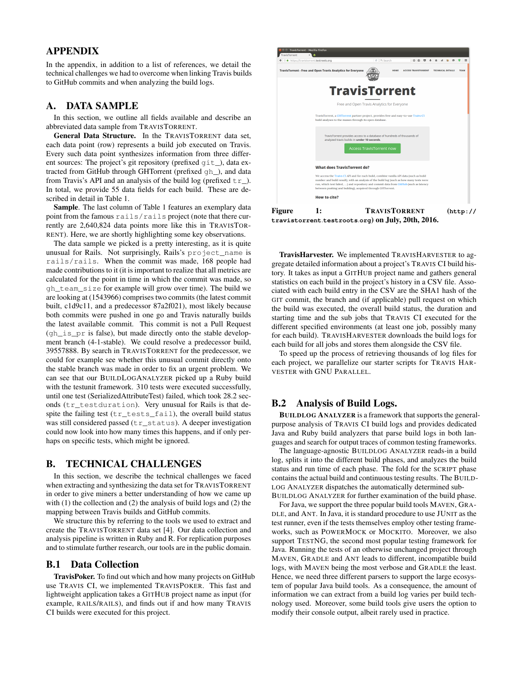# APPENDIX

In the appendix, in addition to a list of references, we detail the technical challenges we had to overcome when linking Travis builds to GitHub commits and when analyzing the build logs.

## <span id="page-2-0"></span>A. DATA SAMPLE

In this section, we outline all fields available and describe an abbreviated data sample from TRAVISTORRENT.

General Data Structure. In the TRAVISTORRENT data set, each data point (row) represents a build job executed on Travis. Every such data point synthesizes information from three different sources: The project's git repository (prefixed git\_), data extracted from GitHub through GHTorrent (prefixed gh\_), and data from Travis's API and an analysis of the build log (prefixed  $tr$ ). In total, we provide 55 data fields for each build. These are described in detail in Table [1.](#page-3-0)

Sample. The last column of Table [1](#page-3-0) features an exemplary data point from the famous rails/rails project (note that there currently are 2,640,824 data points more like this in TRAVISTOR-RENT). Here, we are shortly highlighting some key observations.

The data sample we picked is a pretty interesting, as it is quite unusual for Rails. Not surprisingly, Rails's project\_name is rails/rails. When the commit was made, 168 people had made contributions to it (it is important to realize that all metrics are calculated for the point in time in which the commit was made, so gh\_team\_size for example will grow over time). The build we are looking at (1543966) comprises two commits (the latest commit built, c1d9c11, and a predecessor 87a2f021), most likely because both commits were pushed in one go and Travis naturally builds the latest available commit. This commit is not a Pull Request  $(qh_is_pr$  is false), but made directly onto the stable development branch (4-1-stable). We could resolve a predecessor build, 39557888. By search in TRAVISTORRENT for the predecessor, we could for example see whether this unusual commit directly onto the stable branch was made in order to fix an urgent problem. We can see that our BUILDLOGANALYZER picked up a Ruby build with the testunit framework. 310 tests were executed successfully, until one test (SerializedAttributeTest) failed, which took 28.2 seconds (tr\_testduration). Very unusual for Rails is that despite the failing test  $(tr\_tests\_fail)$ , the overall build status was still considered passed (tr\_status). A deeper investigation could now look into how many times this happens, and if only perhaps on specific tests, which might be ignored.

#### B. TECHNICAL CHALLENGES

In this section, we describe the technical challenges we faced when extracting and synthesizing the data set for TRAVISTORRENT in order to give miners a better understanding of how we came up with (1) the collection and (2) the analysis of build logs and (2) the mapping between Travis builds and GitHub commits.

We structure this by referring to the tools we used to extract and create the TRAVISTORRENT data set [\[4\]](#page-4-2). Our data collection and analysis pipeline is written in Ruby and R. For replication purposes and to stimulate further research, our tools are in the public domain.

## B.1 Data Collection

TravisPoker. To find out which and how many projects on GitHub use TRAVIS CI, we implemented TRAVISPOKER. This fast and lightweight application takes a GITHUB project name as input (for example, RAILS/RAILS), and finds out if and how many TRAVIS CI builds were executed for this project.



Figure 1: TRAVISTORRENT (**[http://](https://web.archive.org/web/20170323145500/https://travistorrent.testroots.org) [travistorrent](https://web.archive.org/web/20170323145500/https://travistorrent.testroots.org)**.**testroots**.**org**) on July, 20th, 2016.

TravisHarvester. We implemented TRAVISHARVESTER to aggregate detailed information about a project's TRAVIS CI build history. It takes as input a GITHUB project name and gathers general statistics on each build in the project's history in a CSV file. Associated with each build entry in the CSV are the SHA1 hash of the GIT commit, the branch and (if applicable) pull request on which the build was executed, the overall build status, the duration and starting time and the sub jobs that TRAVIS CI executed for the different specified environments (at least one job, possibly many for each build). TRAVISHARVESTER downloads the build logs for each build for all jobs and stores them alongside the CSV file.

To speed up the process of retrieving thousands of log files for each project, we parallelize our starter scripts for TRAVIS HAR-VESTER with GNU PARALLEL.

### B.2 Analysis of Build Logs.

BUILDLOG ANALYZER is a framework that supports the generalpurpose analysis of TRAVIS CI build logs and provides dedicated Java and Ruby build analyzers that parse build logs in both languages and search for output traces of common testing frameworks.

The language-agnostic BUILDLOG ANALYZER reads-in a build log, splits it into the different build phases, and analyzes the build status and run time of each phase. The fold for the SCRIPT phase contains the actual build and continuous testing results. The BUILD-LOG ANALYZER dispatches the automatically determined sub-BUILDLOG ANALYZER for further examination of the build phase.

For Java, we support the three popular build tools MAVEN, GRA-DLE, and ANT. In Java, it is standard procedure to use JUNIT as the test runner, even if the tests themselves employ other testing frameworks, such as POWERMOCK or MOCKITO. Moreover, we also support TESTNG, the second most popular testing framework for Java. Running the tests of an otherwise unchanged project through MAVEN, GRADLE and ANT leads to different, incompatible build logs, with MAVEN being the most verbose and GRADLE the least. Hence, we need three different parsers to support the large ecosystem of popular Java build tools. As a consequence, the amount of information we can extract from a build log varies per build technology used. Moreover, some build tools give users the option to modify their console output, albeit rarely used in practice.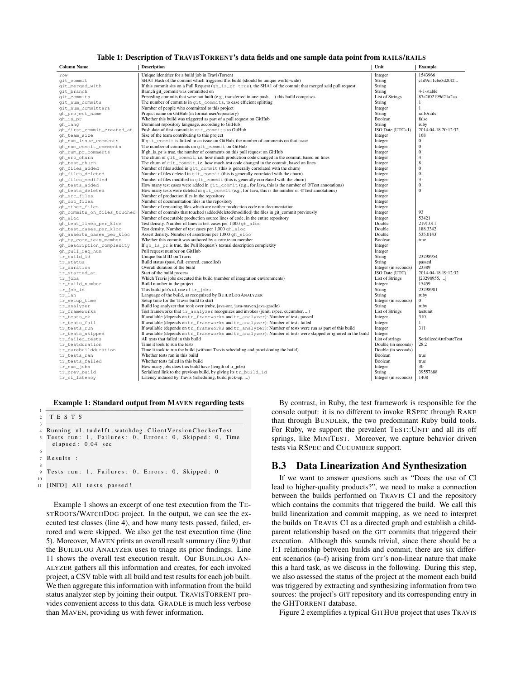#### <span id="page-3-0"></span>Table 1: Description of TRAVISTORRENT's data fields and one sample data point from RAILS/RAILS

| <b>Column Name</b>             | <b>Description</b>                                                                                                              | Unit                   | <b>Example</b>          |
|--------------------------------|---------------------------------------------------------------------------------------------------------------------------------|------------------------|-------------------------|
| row                            | Unique identifier for a build job in TravisTorrent                                                                              | Integer                | 1543966                 |
| git_commit                     | SHA1 Hash of the commit which triggered this build (should be unique world-wide)                                                | String                 | c1d9c11cbe3d20f2        |
| git merged with                | If this commit sits on a Pull Request $(qh \text{ is } pr \text{ true})$ , the SHA1 of the commit that merged said pull request | String                 |                         |
| qit_branch                     | Branch git commit was committed on                                                                                              | String                 | 4-1-stable              |
| qit_commits                    | Preceding commits that were not built (e.g., transferred in one push, ) this build comprises                                    | <b>List of Strings</b> | 87a2f02199d21a2aa       |
| git num commits                | The number of commits in $qit$ commits, to ease efficient splitting                                                             | String                 | 1                       |
| git_num_committers             | Number of people who committed to this project                                                                                  | Integer                | $\mathbf{1}$            |
| gh_project_name                | Project name on GitHub (in format user/repository)                                                                              | String                 | rails/rails             |
| gh_is_pr                       | Whether this build was triggered as part of a pull request on GitHub                                                            | Boolean                | false                   |
| gh_lang                        | Dominant repository language, according to GitHub                                                                               | String                 | ruby                    |
| gh first commit created at     | Push date of first commit in git_commits to GitHub                                                                              | ISO Date (UTC+1)       | 2014-04-18 20:12:32     |
| gh team size                   | Size of the team contributing to this project                                                                                   | Integer                | 168                     |
| qh_num_issue_comments          | If $\text{qit\_commit}$ is linked to an issue on GitHub, the number of comments on that issue                                   | Integer                | $\mathbf{0}$            |
| gh_num_commit_comments         | The number of comments on git commit on GitHub                                                                                  | Integer                | $\overline{0}$          |
| gh_num_pr_comments             | If gh_is_pr is true, the number of comments on this pull request on GitHub                                                      | Integer                | $\overline{0}$          |
| gh_src_churn                   | The churn of $q$ it commit, i.e. how much production code changed in the commit, based on lines                                 | Integer                | $\overline{4}$          |
| gh_test_churn                  | The churn of $q$ it_commit, i.e. how much test code changed in the commit, based on lines                                       | Integer                | 8                       |
| gh_files_added                 | Number of files added in $qit_{\text{c}ommit}$ (this is generally correlated with the churn)                                    | Integer                | $\overline{0}$          |
| gh files deleted               | Number of files deleted in $\text{git\_commit}$ (this is generally correlated with the churn)                                   | Integer                | $\overline{0}$          |
| gh_files_modified              | Number of files modified in $qit_{\text{comm}}$ (this is generally correlated with the churn)                                   | Integer                | 3                       |
| gh_tests_added                 | How many test cases were added in $qit_{\text{commit}}$ (e.g., for Java, this is the number of @Test annotations)               | Integer                | $\overline{0}$          |
| gh_tests_deleted               | How many tests were deleted in $\text{qit\_commit}$ (e.g., for Java, this is the number of @Test annotations)                   | Integer                | $\overline{0}$          |
| gh_src_files                   | Number of production files in the repository                                                                                    | Integer                |                         |
| gh doc files                   | Number of documentation files in the repository                                                                                 | Integer                |                         |
| gh_other_files                 | Number of remaining files which are neither production code nor documentation                                                   | Integer                | 93                      |
| gh_commits_on_files_touched    | Number of commits that touched (added/deleted/modified) the files in git_commit previously                                      | Integer                |                         |
| gh sloc                        | Number of executable production source lines of code, in the entire repository                                                  | Integer                | 53421<br>2191.011       |
| gh_test_lines_per_kloc         | Test density. Number of lines in test cases per 1,000 gh_sloc                                                                   | Double<br>Double       |                         |
| gh_test_cases_per_kloc         | Test density. Number of test cases per 1,000 gh_sloc                                                                            | Double                 | 188.3342<br>535.0143    |
| gh_asserts_cases_per_kloc      | Assert density. Number of assertions per 1,000 qh_sloc                                                                          | Boolean                | true                    |
| gh_by_core_team_member         | Whether this commit was authored by a core team member                                                                          |                        |                         |
| qh_description_complexity      | If qh is pr is true, the Pull Request's textual description complexity<br>Pull request number on GitHub                         | Integer<br>Integer     |                         |
| gh_pull_req_num<br>tr_build_id | Unique build ID on Travis                                                                                                       | String                 | 23298954                |
| tr status                      | Build status (pass, fail, errored, cancelled)                                                                                   | String                 | passed                  |
| tr_duration                    | Overall duration of the build                                                                                                   | Integer (in seconds)   | 23389                   |
| tr started at                  | Start of the build process                                                                                                      | ISO Date (UTC)         | 2014-04-18 19:12:32     |
| tr_jobs                        | Which Travis jobs executed this build (number of integration environments)                                                      | <b>List of Strings</b> | [23298955, ]            |
| tr_build_number                | Build number in the project                                                                                                     | Integer                | 15459                   |
| tr_job_id                      | This build job's id, one of tr_jobs                                                                                             | String                 | 23298981                |
| tr_lan                         | Language of the build, as recognized by BUILDLOGANALYZER                                                                        | String                 | ruby                    |
| tr_setup_time                  | Setup time for the Travis build to start                                                                                        | Integer (in seconds)   | 0                       |
| tr_analyzer                    | Build log analyzer that took over (ruby, java-ant, java-maven, java-gradle)                                                     | String                 | ruby                    |
| tr_frameworks                  | Test frameworks that $tr\_analyzer$ recognizes and invokes (junit, rspec, cucumber, )                                           | <b>List of Strings</b> | testunit                |
| tr tests ok                    | If available (depends on $tr$ frameworks and $tr$ analyzer): Number of tests passed                                             | Integer                | 310                     |
| tr_tests_fail                  | If available (depends on tr_frameworks and tr_analyzer): Number of tests failed                                                 | Integer                | $\mathbf{1}$            |
| tr_tests_run                   | If available (depends on tr_frameworks and tr_analyzer): Number of tests were run as part of this build                         | Integer                | 311                     |
| tr_tests_skipped               | If available (depends on $tr$ frameworks and $tr$ analyzer): Number of tests were skipped or ignored in the build               | Integer                |                         |
| tr_failed_tests                | All tests that failed in this build                                                                                             | List of strings        | SerializedAttributeTest |
| tr testduration                | Time it took to run the tests                                                                                                   | Double (in seconds)    | 28.2                    |
| tr_purebuildduration           | Time it took to run the build (without Travis scheduling and provisioning the build)                                            | Double (in seconds)    |                         |
| tr_tests_ran                   | Whether tests ran in this build                                                                                                 | Boolean                | true                    |
| tr tests failed                | Whether tests failed in this build                                                                                              | Boolean                | true                    |
| tr num jobs                    | How many jobs does this build have (length of tr jobs)                                                                          | Integer                | 30                      |
| tr_prev_build                  | Serialized link to the previous build, by giving its tr_build_id                                                                | String                 | 39557888                |
| tr_ci_latency                  | Latency induced by Travis (scheduling, build pick-up, )                                                                         | Integer (in seconds)   | 1408                    |
|                                |                                                                                                                                 |                        |                         |

<span id="page-3-1"></span>Example 1: Standard output from MAVEN regarding tests

1 −−−−−−−−−−−−−−−−−−−−−−−−−−−−−−−−−−−−−−−−−−−−−−−−−−−−−−− 2 T E S T S 3 −−−−−−−−−−−−−−−−−−−−−−−−−−−−−−−−−−−−−−−−−−−−−−−−−−−−−−− 4 Running nl.tudelft.watchdog.ClientVersionCheckerTest<br>5 Tests run: 1, Failures: 0, Errors: 0, Skipped: 0, Time  $elased: 0.04 sec$ 7 Results :

```
9 Tests run: 1, Failures: 0, Errors: 0, Skipped: 0
10
```
11 [INFO] All tests passed!

6

8

Example [1](#page-3-1) shows an excerpt of one test execution from the TE-STROOTS/WATCHDOG project. In the output, we can see the executed test classes (line 4), and how many tests passed, failed, errored and were skipped. We also get the test execution time (line 5). Moreover, MAVEN prints an overall result summary (line 9) that the BUILDLOG ANALYZER uses to triage its prior findings. Line 11 shows the overall test execution result. Our BUILDLOG AN-ALYZER gathers all this information and creates, for each invoked project, a CSV table with all build and test results for each job built. We then aggregate this information with information from the build status analyzer step by joining their output. TRAVISTORRENT provides convenient access to this data. GRADLE is much less verbose than MAVEN, providing us with fewer information.

By contrast, in Ruby, the test framework is responsible for the console output: it is no different to invoke RSPEC through RAKE than through BUNDLER, the two predominant Ruby build tools. For Ruby, we support the prevalent TEST::UNIT and all its off springs, like MINITEST. Moreover, we capture behavior driven tests via RSPEC and CUCUMBER support.

#### B.3 Data Linearization And Synthesization

If we want to answer questions such as "Does the use of CI lead to higher-quality products?", we need to make a connection between the builds performed on TRAVIS CI and the repository which contains the commits that triggered the build. We call this build linearization and commit mapping, as we need to interpret the builds on TRAVIS CI as a directed graph and establish a childparent relationship based on the GIT commits that triggered their execution. Although this sounds trivial, since there should be a 1:1 relationship between builds and commit, there are six different scenarios (a–f) arising from GIT's non-linear nature that make this a hard task, as we discuss in the following. During this step, we also assessed the status of the project at the moment each build was triggered by extracting and synthesizing information from two sources: the project's GIT repository and its corresponding entry in the GHTORRENT database.

Figure [2](#page-4-4) exemplifies a typical GITHUB project that uses TRAVIS